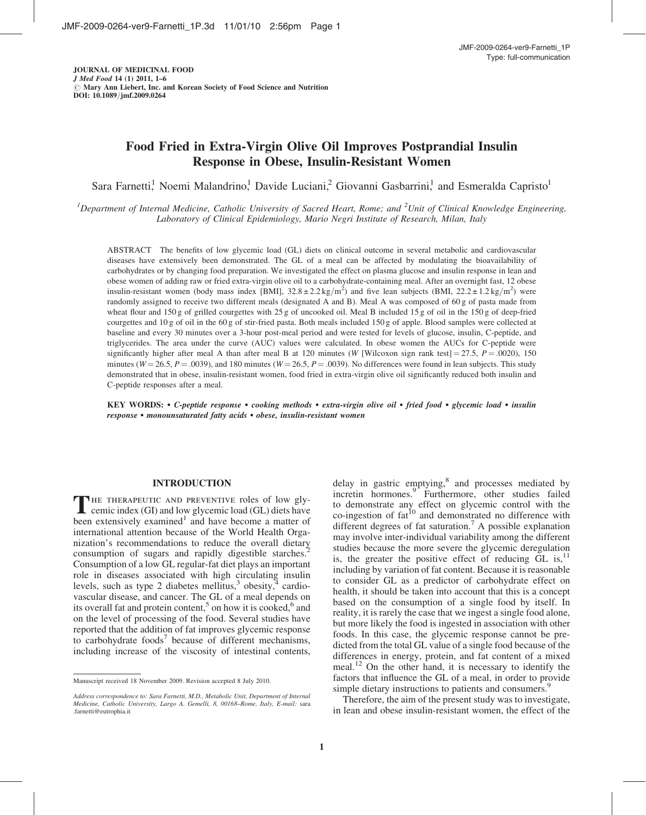JOURNAL OF MEDICINAL FOOD J Med Food 14 (1) 2011, 1–6  $\oslash$  Mary Ann Liebert, Inc. and Korean Society of Food Science and Nutrition DOI: 10.1089/jmf.2009.0264

# Food Fried in Extra-Virgin Olive Oil Improves Postprandial Insulin Response in Obese, Insulin-Resistant Women

Sara Farnetti,<sup>1</sup> Noemi Malandrino,<sup>1</sup> Davide Luciani,<sup>2</sup> Giovanni Gasbarrini,<sup>1</sup> and Esmeralda Capristo<sup>1</sup>

<sup>1</sup>Department of Internal Medicine, Catholic University of Sacred Heart, Rome; and <sup>2</sup>Unit of Clinical Knowledge Engineering, Laboratory of Clinical Epidemiology, Mario Negri Institute of Research, Milan, Italy

ABSTRACT The benefits of low glycemic load (GL) diets on clinical outcome in several metabolic and cardiovascular diseases have extensively been demonstrated. The GL of a meal can be affected by modulating the bioavailability of carbohydrates or by changing food preparation. We investigated the effect on plasma glucose and insulin response in lean and obese women of adding raw or fried extra-virgin olive oil to a carbohydrate-containing meal. After an overnight fast, 12 obese insulin-resistant women (body mass index [BMI],  $32.8 \pm 2.2 \text{ kg/m}^2$ ) and five lean subjects (BMI,  $22.2 \pm 1.2 \text{ kg/m}^2$ ) were randomly assigned to receive two different meals (designated A and B). Meal A was composed of 60 g of pasta made from wheat flour and 150 g of grilled courgettes with 25 g of uncooked oil. Meal B included 15 g of oil in the 150 g of deep-fried courgettes and 10 g of oil in the 60 g of stir-fried pasta. Both meals included 150 g of apple. Blood samples were collected at baseline and every 30 minutes over a 3-hour post-meal period and were tested for levels of glucose, insulin, C-peptide, and triglycerides. The area under the curve (AUC) values were calculated. In obese women the AUCs for C-peptide were significantly higher after meal A than after meal B at 120 minutes (W [Wilcoxon sign rank test] = 27.5,  $P = .0020$ ), 150 minutes ( $W = 26.5$ ,  $P = .0039$ ), and 180 minutes ( $W = 26.5$ ,  $P = .0039$ ). No differences were found in lean subjects. This study demonstrated that in obese, insulin-resistant women, food fried in extra-virgin olive oil significantly reduced both insulin and C-peptide responses after a meal.

KEY WORDS: • C-peptide response • cooking methods • extra-virgin olive oil • fried food • glycemic load • insulin response • monounsaturated fatty acids • obese, insulin-resistant women

## INTRODUCTION

THE THERAPEUTIC AND PREVENTIVE roles of low gly-<br>cemic index (GI) and low glycemic load (GL) diets have been extensively examined<sup>1</sup> and have become a matter of international attention because of the World Health Organization's recommendations to reduce the overall dietary consumption of sugars and rapidly digestible starches. Consumption of a low GL regular-fat diet plays an important role in diseases associated with high circulating insulin levels, such as type 2 diabetes mellitus,<sup>3</sup> obesity, $4$  cardiovascular disease, and cancer. The GL of a meal depends on its overall fat and protein content,<sup>5</sup> on how it is cooked,<sup>6</sup> and on the level of processing of the food. Several studies have reported that the addition of fat improves glycemic response to carbohydrate foods<sup>7</sup> because of different mechanisms, including increase of the viscosity of intestinal contents,

delay in gastric emptying, $8$  and processes mediated by incretin hormones.<sup>9</sup> Furthermore, other studies failed to demonstrate any effect on glycemic control with the co-ingestion of  $fat^{10}$  and demonstrated no difference with different degrees of fat saturation.<sup>7</sup> A possible explanation may involve inter-individual variability among the different studies because the more severe the glycemic deregulation is, the greater the positive effect of reducing  $GL$  is,<sup>11</sup> including by variation of fat content. Because it is reasonable to consider GL as a predictor of carbohydrate effect on health, it should be taken into account that this is a concept based on the consumption of a single food by itself. In reality, it is rarely the case that we ingest a single food alone, but more likely the food is ingested in association with other foods. In this case, the glycemic response cannot be predicted from the total GL value of a single food because of the differences in energy, protein, and fat content of a mixed meal.<sup>12</sup> On the other hand, it is necessary to identify the factors that influence the GL of a meal, in order to provide simple dietary instructions to patients and consumers.<sup>9</sup>

Therefore, the aim of the present study was to investigate, in lean and obese insulin-resistant women, the effect of the

Manuscript received 18 November 2009. Revision accepted 8 July 2010.

Address correspondence to: Sara Farnetti, M.D., Metabolic Unit, Department of Internal Medicine, Catholic University, Largo A. Gemelli, 8, 00168–Rome, Italy, E-mail: sara .farnetti@eutrophia.it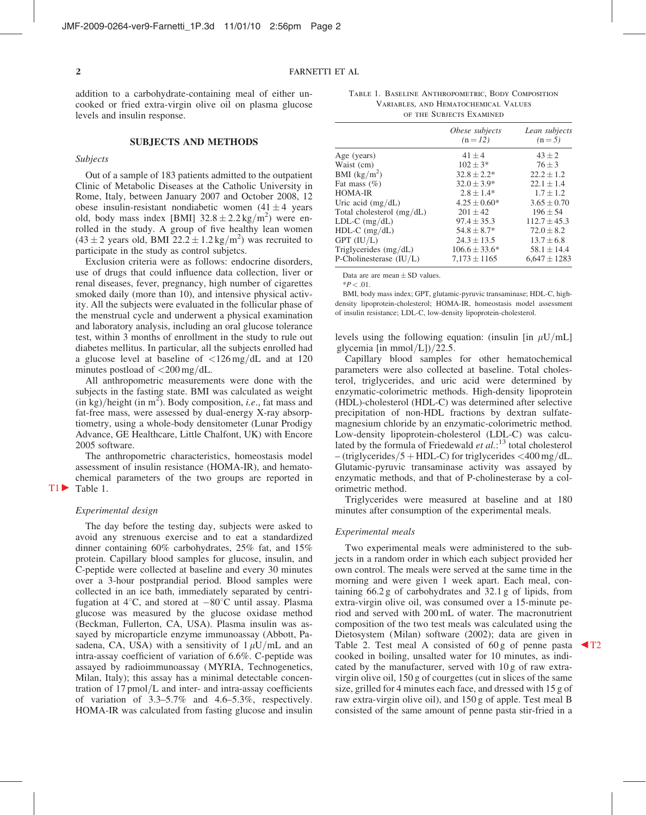#### 2 FARNETTI ET AL

addition to a carbohydrate-containing meal of either uncooked or fried extra-virgin olive oil on plasma glucose levels and insulin response.

## SUBJECTS AND METHODS

## Subjects

Out of a sample of 183 patients admitted to the outpatient Clinic of Metabolic Diseases at the Catholic University in Rome, Italy, between January 2007 and October 2008, 12 obese insulin-resistant nondiabetic women  $(41 \pm 4)$  years old, body mass index [BMI]  $32.8 \pm 2.2$  kg/m<sup>2</sup>) were enrolled in the study. A group of five healthy lean women  $(43 \pm 2 \text{ years old}, \text{BMI } 22.2 \pm 1.2 \text{ kg/m}^2)$  was recruited to participate in the study as control subjetcs.

Exclusion criteria were as follows: endocrine disorders, use of drugs that could influence data collection, liver or renal diseases, fever, pregnancy, high number of cigarettes smoked daily (more than 10), and intensive physical activity. All the subjects were evaluated in the follicular phase of the menstrual cycle and underwent a physical examination and laboratory analysis, including an oral glucose tolerance test, within 3 months of enrollment in the study to rule out diabetes mellitus. In particular, all the subjects enrolled had a glucose level at baseline of  $\langle 126 \text{ mg}/dL$  and at 120 minutes postload of  $\langle 200 \text{ mg/dL}$ .

All anthropometric measurements were done with the subjects in the fasting state. BMI was calculated as weight  $(in \, kg)/height \, (in \, m^2)$ . Body composition, *i.e.*, fat mass and fat-free mass, were assessed by dual-energy X-ray absorptiometry, using a whole-body densitometer (Lunar Prodigy Advance, GE Healthcare, Little Chalfont, UK) with Encore 2005 software.

The anthropometric characteristics, homeostasis model assessment of insulin resistance (HOMA-IR), and hematochemical parameters of the two groups are reported in  $T1$  Table 1.

#### Experimental design

The day before the testing day, subjects were asked to avoid any strenuous exercise and to eat a standardized dinner containing 60% carbohydrates, 25% fat, and 15% protein. Capillary blood samples for glucose, insulin, and C-peptide were collected at baseline and every 30 minutes over a 3-hour postprandial period. Blood samples were collected in an ice bath, immediately separated by centrifugation at  $4^{\circ}$ C, and stored at  $-80^{\circ}$ C until assay. Plasma glucose was measured by the glucose oxidase method (Beckman, Fullerton, CA, USA). Plasma insulin was assayed by microparticle enzyme immunoassay (Abbott, Pasadena, CA, USA) with a sensitivity of  $1 \mu U/mL$  and an intra-assay coefficient of variation of 6.6%. C-peptide was assayed by radioimmunoassay (MYRIA, Technogenetics, Milan, Italy); this assay has a minimal detectable concentration of  $17 \text{ pmol/L}$  and inter- and intra-assay coefficients of variation of 3.3–5.7% and 4.6–5.3%, respectively. HOMA-IR was calculated from fasting glucose and insulin

| TABLE 1. BASELINE ANTHROPOMETRIC, BODY COMPOSITION |
|----------------------------------------------------|
| VARIABLES, AND HEMATOCHEMICAL VALUES               |
| OF THE SUBJECTS EXAMINED                           |

|                                                                                                                                                                                                             | Obese subjects<br>$(n = 12)$                                                                                                                                                                         | Lean subjects<br>$(n=5)$                                                                                                                                                                |
|-------------------------------------------------------------------------------------------------------------------------------------------------------------------------------------------------------------|------------------------------------------------------------------------------------------------------------------------------------------------------------------------------------------------------|-----------------------------------------------------------------------------------------------------------------------------------------------------------------------------------------|
| Age (years)<br>Waist (cm)<br>BMI $(kg/m^2)$<br>Fat mass (%)<br>HOMA-IR<br>Uric acid $(mg/dL)$<br>Total cholesterol (mg/dL)<br>LDL-C $(mg/dL)$<br>$HDL-C$ (mg/dL)<br>$GPT$ (IU/L)<br>Triglycerides $(mg/dL)$ | $41 + 4$<br>$102 \pm 3*$<br>$32.8 \pm 2.2^*$<br>$32.0 \pm 3.9*$<br>$2.8 \pm 1.4*$<br>$4.25 \pm 0.60*$<br>$201 \pm 42$<br>$97.4 \pm 35.3$<br>$54.8 \pm 8.7*$<br>$24.3 \pm 13.5$<br>$106.6 \pm 33.6^*$ | $43 + 2$<br>$76 \pm 3$<br>$22.2 \pm 1.2$<br>$22.1 \pm 1.4$<br>$1.7 \pm 1.2$<br>$3.65 \pm 0.70$<br>$196 + 54$<br>$112.7 \pm 45.3$<br>$72.0 \pm 8.2$<br>$13.7 \pm 6.8$<br>$58.1 \pm 14.4$ |
| P-Cholinesterase $(IU/L)$                                                                                                                                                                                   | $7,173 \pm 1165$                                                                                                                                                                                     | $6,647 \pm 1283$                                                                                                                                                                        |

Data are are mean  $\pm$  SD values.

 $*P < .01$ .

BMI, body mass index; GPT, glutamic-pyruvic transaminase; HDL-C, highdensity lipoprotein-cholesterol; HOMA-IR, homeostasis model assessment of insulin resistance; LDL-C, low-density lipoprotein-cholesterol.

levels using the following equation: (insulin [in  $\mu$ U/mL] glycemia [in mmol/L])/22.5.

Capillary blood samples for other hematochemical parameters were also collected at baseline. Total cholesterol, triglycerides, and uric acid were determined by enzymatic-colorimetric methods. High-density lipoprotein (HDL)-cholesterol (HDL-C) was determined after selective precipitation of non-HDL fractions by dextran sulfatemagnesium chloride by an enzymatic-colorimetric method. Low-density lipoprotein-cholesterol (LDL-C) was calculated by the formula of Friedewald  $et$   $al.^{13}$  total cholesterol – (triglycerides  $/5$  + HDL-C) for triglycerides  $\langle 400 \text{ mg}/dL$ . Glutamic-pyruvic transaminase activity was assayed by enzymatic methods, and that of P-cholinesterase by a colorimetric method.

Triglycerides were measured at baseline and at 180 minutes after consumption of the experimental meals.

#### Experimental meals

Two experimental meals were administered to the subjects in a random order in which each subject provided her own control. The meals were served at the same time in the morning and were given 1 week apart. Each meal, containing 66.2 g of carbohydrates and 32.1 g of lipids, from extra-virgin olive oil, was consumed over a 15-minute period and served with 200 mL of water. The macronutrient composition of the two test meals was calculated using the Dietosystem (Milan) software (2002); data are given in Table 2. Test meal A consisted of 60 g of penne pasta  $\blacktriangleleft$  T2 cooked in boiling, unsalted water for 10 minutes, as indicated by the manufacturer, served with 10 g of raw extravirgin olive oil, 150 g of courgettes (cut in slices of the same size, grilled for 4 minutes each face, and dressed with 15 g of raw extra-virgin olive oil), and 150 g of apple. Test meal B consisted of the same amount of penne pasta stir-fried in a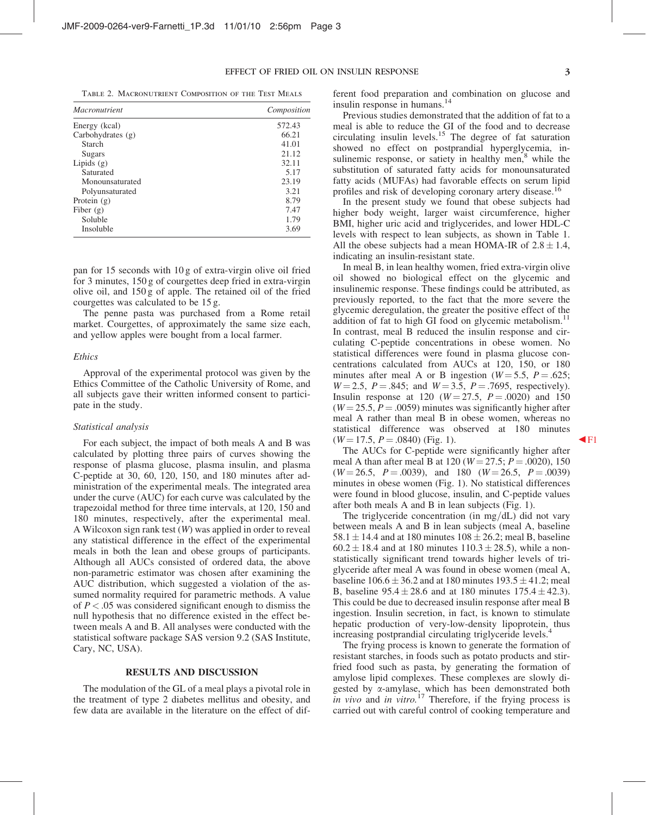Table 2. Macronutrient Composition of the Test Meals

| <i>Macronutrient</i> | Composition |
|----------------------|-------------|
| Energy (kcal)        | 572.43      |
| Carbohydrates $(g)$  | 66.21       |
| Starch               | 41.01       |
| Sugars               | 21.12       |
| Lipids $(g)$         | 32.11       |
| Saturated            | 5.17        |
| Monounsaturated      | 23.19       |
| Polyunsaturated      | 3.21        |
| Protein $(g)$        | 8.79        |
| Fiber $(g)$          | 7.47        |
| Soluble              | 1.79        |
| Insoluble            | 3.69        |

pan for 15 seconds with 10 g of extra-virgin olive oil fried for 3 minutes, 150 g of courgettes deep fried in extra-virgin olive oil, and 150 g of apple. The retained oil of the fried courgettes was calculated to be 15 g.

The penne pasta was purchased from a Rome retail market. Courgettes, of approximately the same size each, and yellow apples were bought from a local farmer.

#### Ethics

Approval of the experimental protocol was given by the Ethics Committee of the Catholic University of Rome, and all subjects gave their written informed consent to participate in the study.

#### Statistical analysis

For each subject, the impact of both meals A and B was calculated by plotting three pairs of curves showing the response of plasma glucose, plasma insulin, and plasma C-peptide at 30, 60, 120, 150, and 180 minutes after administration of the experimental meals. The integrated area under the curve (AUC) for each curve was calculated by the trapezoidal method for three time intervals, at 120, 150 and 180 minutes, respectively, after the experimental meal. A Wilcoxon sign rank test (W) was applied in order to reveal any statistical difference in the effect of the experimental meals in both the lean and obese groups of participants. Although all AUCs consisted of ordered data, the above non-parametric estimator was chosen after examining the AUC distribution, which suggested a violation of the assumed normality required for parametric methods. A value of  $P < .05$  was considered significant enough to dismiss the null hypothesis that no difference existed in the effect between meals A and B. All analyses were conducted with the statistical software package SAS version 9.2 (SAS Institute, Cary, NC, USA).

## RESULTS AND DISCUSSION

The modulation of the GL of a meal plays a pivotal role in the treatment of type 2 diabetes mellitus and obesity, and few data are available in the literature on the effect of dif-

ferent food preparation and combination on glucose and insulin response in humans.<sup>14</sup>

Previous studies demonstrated that the addition of fat to a meal is able to reduce the GI of the food and to decrease circulating insulin levels. $15$  The degree of fat saturation showed no effect on postprandial hyperglycemia, insulinemic response, or satiety in healthy men, $<sup>8</sup>$  while the</sup> substitution of saturated fatty acids for monounsaturated fatty acids (MUFAs) had favorable effects on serum lipid profiles and risk of developing coronary artery disease.<sup>16</sup>

In the present study we found that obese subjects had higher body weight, larger waist circumference, higher BMI, higher uric acid and triglycerides, and lower HDL-C levels with respect to lean subjects, as shown in Table 1. All the obese subjects had a mean HOMA-IR of  $2.8 \pm 1.4$ , indicating an insulin-resistant state.

In meal B, in lean healthy women, fried extra-virgin olive oil showed no biological effect on the glycemic and insulinemic response. These findings could be attributed, as previously reported, to the fact that the more severe the glycemic deregulation, the greater the positive effect of the addition of fat to high GI food on glycemic metabolism.<sup>11</sup> In contrast, meal B reduced the insulin response and circulating C-peptide concentrations in obese women. No statistical differences were found in plasma glucose concentrations calculated from AUCs at 120, 150, or 180 minutes after meal A or B ingestion ( $W = 5.5$ ,  $P = .625$ ;  $W = 2.5$ ,  $P = .845$ ; and  $W = 3.5$ ,  $P = .7695$ , respectively). Insulin response at 120 ( $W = 27.5$ ,  $P = .0020$ ) and 150  $(W = 25.5, P = .0059)$  minutes was significantly higher after meal A rather than meal B in obese women, whereas no statistical difference was observed at 180 minutes  $(W = 17.5, P = .0840)$  (Fig. 1).

The AUCs for C-peptide were significantly higher after meal A than after meal B at 120 ( $W = 27.5$ ;  $P = .0020$ ), 150  $(W = 26.5, P = .0039)$ , and 180  $(W = 26.5, P = .0039)$ minutes in obese women (Fig. 1). No statistical differences were found in blood glucose, insulin, and C-peptide values after both meals A and B in lean subjects (Fig. 1).

The triglyceride concentration (in mg/dL) did not vary between meals A and B in lean subjects (meal A, baseline 58.1  $\pm$  14.4 and at 180 minutes 108  $\pm$  26.2; meal B, baseline  $60.2 \pm 18.4$  and at 180 minutes  $110.3 \pm 28.5$ , while a nonstatistically significant trend towards higher levels of triglyceride after meal A was found in obese women (meal A, baseline  $106.6 \pm 36.2$  and at 180 minutes  $193.5 \pm 41.2$ ; meal B, baseline  $95.4 \pm 28.6$  and at 180 minutes  $175.4 \pm 42.3$ ). This could be due to decreased insulin response after meal B ingestion. Insulin secretion, in fact, is known to stimulate hepatic production of very-low-density lipoprotein, thus increasing postprandial circulating triglyceride levels.<sup>4</sup>

The frying process is known to generate the formation of resistant starches, in foods such as potato products and stirfried food such as pasta, by generating the formation of amylose lipid complexes. These complexes are slowly digested by a-amylase, which has been demonstrated both in vivo and in vitro.<sup>17</sup> Therefore, if the frying process is carried out with careful control of cooking temperature and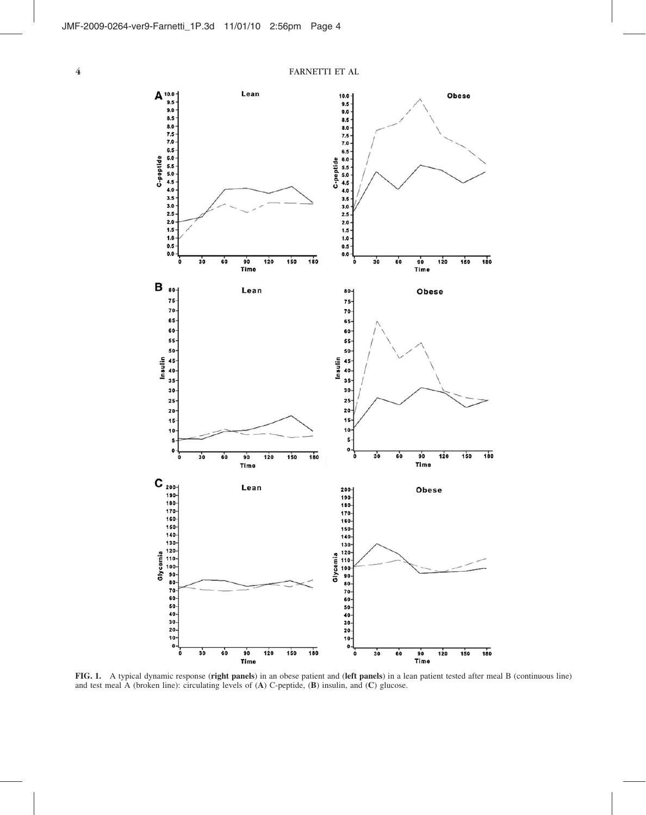## 4 FARNETTI ET AL



FIG. 1. A typical dynamic response (right panels) in an obese patient and (left panels) in a lean patient tested after meal B (continuous line) and test meal A (broken line): circulating levels of (A) C-peptide, (B) insulin, and (C) glucose.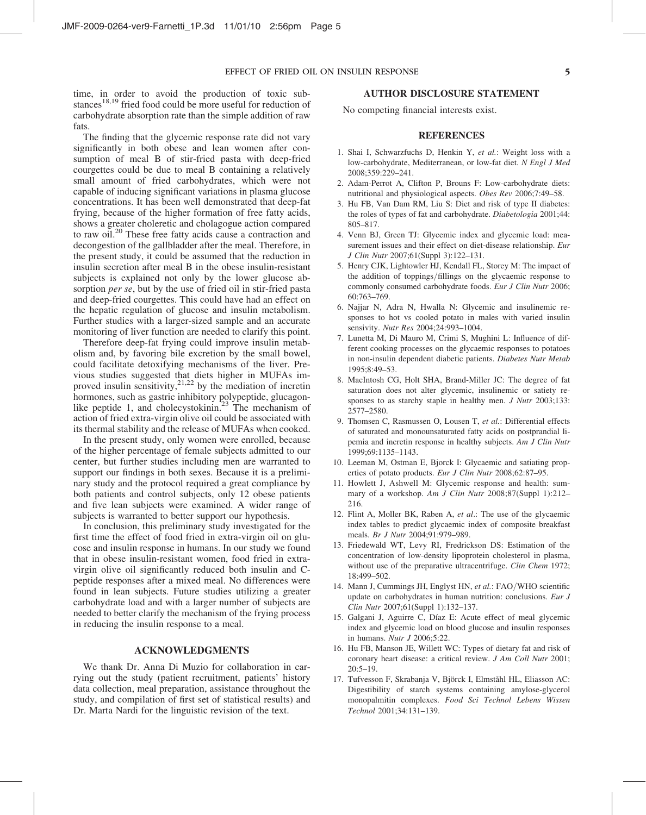time, in order to avoid the production of toxic substances<sup>18,19</sup> fried food could be more useful for reduction of carbohydrate absorption rate than the simple addition of raw fats.

The finding that the glycemic response rate did not vary significantly in both obese and lean women after consumption of meal B of stir-fried pasta with deep-fried courgettes could be due to meal B containing a relatively small amount of fried carbohydrates, which were not capable of inducing significant variations in plasma glucose concentrations. It has been well demonstrated that deep-fat frying, because of the higher formation of free fatty acids, shows a greater choleretic and cholagogue action compared to raw oil.<sup>20</sup> These free fatty acids cause a contraction and decongestion of the gallbladder after the meal. Therefore, in the present study, it could be assumed that the reduction in insulin secretion after meal B in the obese insulin-resistant subjects is explained not only by the lower glucose absorption per se, but by the use of fried oil in stir-fried pasta and deep-fried courgettes. This could have had an effect on the hepatic regulation of glucose and insulin metabolism. Further studies with a larger-sized sample and an accurate monitoring of liver function are needed to clarify this point.

Therefore deep-fat frying could improve insulin metabolism and, by favoring bile excretion by the small bowel, could facilitate detoxifying mechanisms of the liver. Previous studies suggested that diets higher in MUFAs improved insulin sensitivity, $2^{1,22}$  by the mediation of incretin hormones, such as gastric inhibitory polypeptide, glucagonlike peptide 1, and cholecystokinin.<sup>23</sup> The mechanism of action of fried extra-virgin olive oil could be associated with its thermal stability and the release of MUFAs when cooked.

In the present study, only women were enrolled, because of the higher percentage of female subjects admitted to our center, but further studies including men are warranted to support our findings in both sexes. Because it is a preliminary study and the protocol required a great compliance by both patients and control subjects, only 12 obese patients and five lean subjects were examined. A wider range of subjects is warranted to better support our hypothesis.

In conclusion, this preliminary study investigated for the first time the effect of food fried in extra-virgin oil on glucose and insulin response in humans. In our study we found that in obese insulin-resistant women, food fried in extravirgin olive oil significantly reduced both insulin and Cpeptide responses after a mixed meal. No differences were found in lean subjects. Future studies utilizing a greater carbohydrate load and with a larger number of subjects are needed to better clarify the mechanism of the frying process in reducing the insulin response to a meal.

## ACKNOWLEDGMENTS

We thank Dr. Anna Di Muzio for collaboration in carrying out the study (patient recruitment, patients' history data collection, meal preparation, assistance throughout the study, and compilation of first set of statistical results) and Dr. Marta Nardi for the linguistic revision of the text.

## AUTHOR DISCLOSURE STATEMENT

No competing financial interests exist.

### **REFERENCES**

- 1. Shai I, Schwarzfuchs D, Henkin Y, et al.: Weight loss with a low-carbohydrate, Mediterranean, or low-fat diet. N Engl J Med 2008;359:229–241.
- 2. Adam-Perrot A, Clifton P, Brouns F: Low-carbohydrate diets: nutritional and physiological aspects. Obes Rev 2006;7:49–58.
- 3. Hu FB, Van Dam RM, Liu S: Diet and risk of type II diabetes: the roles of types of fat and carbohydrate. Diabetologia 2001;44: 805–817.
- 4. Venn BJ, Green TJ: Glycemic index and glycemic load: measurement issues and their effect on diet-disease relationship. Eur J Clin Nutr 2007;61(Suppl 3):122–131.
- 5. Henry CJK, Lightowler HJ, Kendall FL, Storey M: The impact of the addition of toppings/fillings on the glycaemic response to commonly consumed carbohydrate foods. Eur J Clin Nutr 2006; 60:763–769.
- 6. Najjar N, Adra N, Hwalla N: Glycemic and insulinemic responses to hot vs cooled potato in males with varied insulin sensivity. Nutr Res 2004;24:993–1004.
- 7. Lunetta M, Di Mauro M, Crimi S, Mughini L: Influence of different cooking processes on the glycaemic responses to potatoes in non-insulin dependent diabetic patients. Diabetes Nutr Metab 1995;8:49–53.
- 8. MacIntosh CG, Holt SHA, Brand-Miller JC: The degree of fat saturation does not alter glycemic, insulinemic or satiety responses to as starchy staple in healthy men. *J Nutr* 2003;133: 2577–2580.
- 9. Thomsen C, Rasmussen O, Lousen T, et al.: Differential effects of saturated and monounsaturated fatty acids on postprandial lipemia and incretin response in healthy subjects. Am J Clin Nutr 1999;69:1135–1143.
- 10. Leeman M, Ostman E, Bjorck I: Glycaemic and satiating properties of potato products. Eur J Clin Nutr 2008;62:87–95.
- 11. Howlett J, Ashwell M: Glycemic response and health: summary of a workshop. Am J Clin Nutr 2008;87(Suppl 1):212-216.
- 12. Flint A, Moller BK, Raben A, et al.: The use of the glycaemic index tables to predict glycaemic index of composite breakfast meals. Br J Nutr 2004;91:979–989.
- 13. Friedewald WT, Levy RI, Fredrickson DS: Estimation of the concentration of low-density lipoprotein cholesterol in plasma, without use of the preparative ultracentrifuge. Clin Chem 1972; 18:499–502.
- 14. Mann J, Cummings JH, Englyst HN, et al.: FAO/WHO scientific update on carbohydrates in human nutrition: conclusions. Eur J Clin Nutr 2007;61(Suppl 1):132–137.
- 15. Galgani J, Aguirre C, Díaz E: Acute effect of meal glycemic index and glycemic load on blood glucose and insulin responses in humans. Nutr J 2006;5:22.
- 16. Hu FB, Manson JE, Willett WC: Types of dietary fat and risk of coronary heart disease: a critical review. J Am Coll Nutr 2001; 20:5–19.
- 17. Tufvesson F, Skrabanja V, Björck I, Elmståhl HL, Eliasson AC: Digestibility of starch systems containing amylose-glycerol monopalmitin complexes. Food Sci Technol Lebens Wissen Technol 2001;34:131–139.